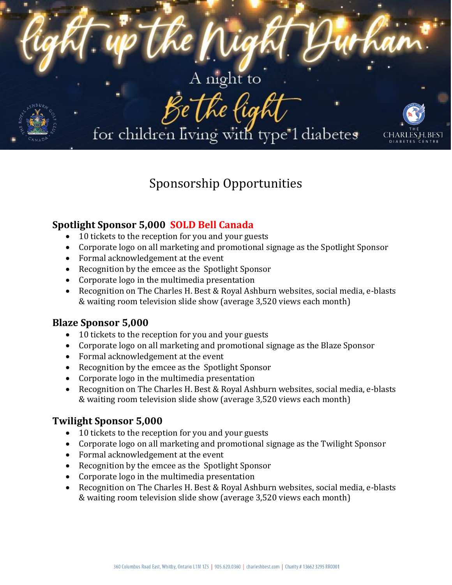

# Sponsorship Opportunities

# **Spotlight Sponsor 5,000 SOLD Bell Canada**

- 10 tickets to the reception for you and your guests
- Corporate logo on all marketing and promotional signage as the Spotlight Sponsor
- Formal acknowledgement at the event
- Recognition by the emcee as the Spotlight Sponsor
- Corporate logo in the multimedia presentation
- Recognition on The Charles H. Best & Royal Ashburn websites, social media, e-blasts & waiting room television slide show (average 3,520 views each month)

## **Blaze Sponsor 5,000**

- 10 tickets to the reception for you and your guests
- Corporate logo on all marketing and promotional signage as the Blaze Sponsor
- Formal acknowledgement at the event
- Recognition by the emcee as the Spotlight Sponsor
- Corporate logo in the multimedia presentation
- Recognition on The Charles H. Best & Royal Ashburn websites, social media, e-blasts & waiting room television slide show (average 3,520 views each month)

## **Twilight Sponsor 5,000**

- 10 tickets to the reception for you and your guests
- Corporate logo on all marketing and promotional signage as the Twilight Sponsor
- Formal acknowledgement at the event
- Recognition by the emcee as the Spotlight Sponsor
- Corporate logo in the multimedia presentation
- Recognition on The Charles H. Best & Royal Ashburn websites, social media, e-blasts & waiting room television slide show (average 3,520 views each month)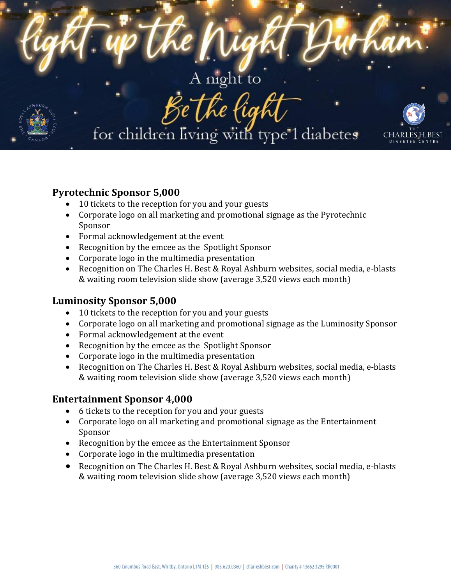

# **Pyrotechnic Sponsor 5,000**

- 10 tickets to the reception for you and your guests
- Corporate logo on all marketing and promotional signage as the Pyrotechnic Sponsor
- Formal acknowledgement at the event
- Recognition by the emcee as the Spotlight Sponsor
- Corporate logo in the multimedia presentation
- Recognition on The Charles H. Best & Royal Ashburn websites, social media, e-blasts & waiting room television slide show (average 3,520 views each month)

## **Luminosity Sponsor 5,000**

- 10 tickets to the reception for you and your guests
- Corporate logo on all marketing and promotional signage as the Luminosity Sponsor
- Formal acknowledgement at the event
- Recognition by the emcee as the Spotlight Sponsor
- Corporate logo in the multimedia presentation
- Recognition on The Charles H. Best & Royal Ashburn websites, social media, e-blasts & waiting room television slide show (average 3,520 views each month)

## **Entertainment Sponsor 4,000**

- 6 tickets to the reception for you and your guests
- Corporate logo on all marketing and promotional signage as the Entertainment Sponsor
- Recognition by the emcee as the Entertainment Sponsor
- Corporate logo in the multimedia presentation
- Recognition on The Charles H. Best & Royal Ashburn websites, social media, e-blasts & waiting room television slide show (average 3,520 views each month)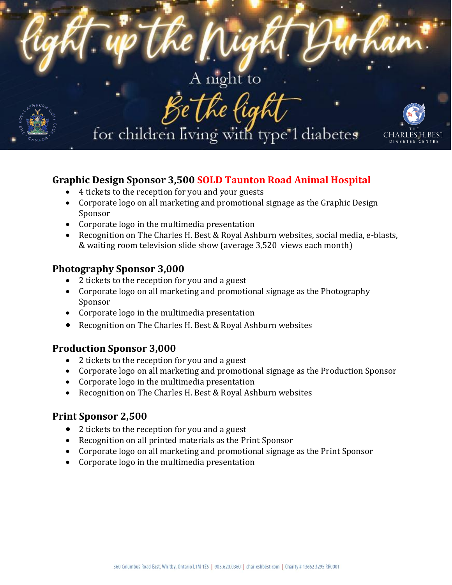

# **Graphic Design Sponsor 3,500 SOLD Taunton Road Animal Hospital**

- 4 tickets to the reception for you and your guests
- Corporate logo on all marketing and promotional signage as the Graphic Design Sponsor
- Corporate logo in the multimedia presentation
- Recognition on The Charles H. Best & Royal Ashburn websites, social media, e-blasts, & waiting room television slide show (average 3,520 views each month)

#### **Photography Sponsor 3,000**

- 2 tickets to the reception for you and a guest
- Corporate logo on all marketing and promotional signage as the Photography Sponsor
- Corporate logo in the multimedia presentation
- Recognition on The Charles H. Best & Royal Ashburn websites

#### **Production Sponsor 3,000**

- 2 tickets to the reception for you and a guest
- Corporate logo on all marketing and promotional signage as the Production Sponsor
- Corporate logo in the multimedia presentation
- Recognition on The Charles H. Best & Royal Ashburn websites

#### **Print Sponsor 2,500**

- 2 tickets to the reception for you and a guest
- Recognition on all printed materials as the Print Sponsor
- Corporate logo on all marketing and promotional signage as the Print Sponsor
- Corporate logo in the multimedia presentation